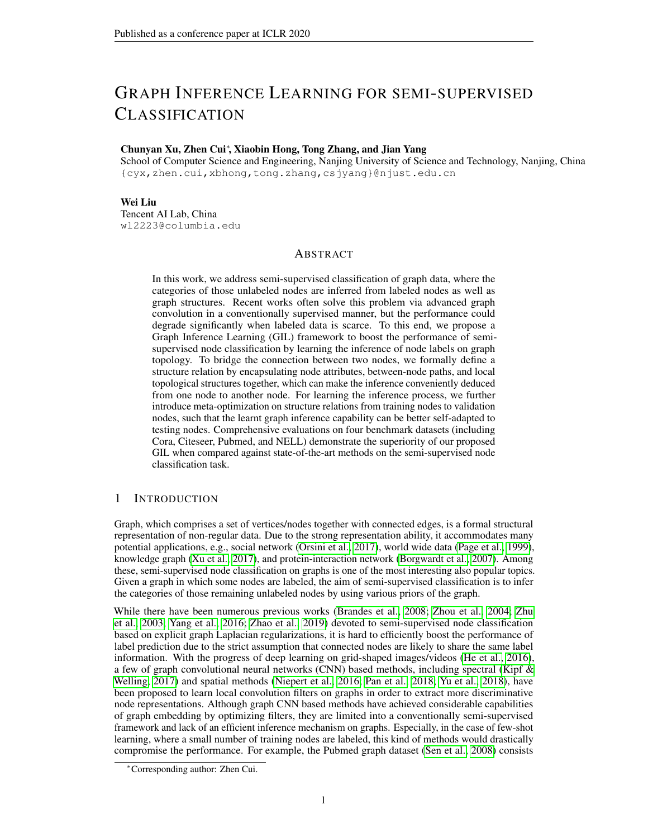# GRAPH INFERENCE LEARNING FOR SEMI-SUPERVISED CLASSIFICATION

# Chunyan Xu, Zhen Cui<sup>∗</sup> , Xiaobin Hong, Tong Zhang, and Jian Yang

School of Computer Science and Engineering, Nanjing University of Science and Technology, Nanjing, China {cyx,zhen.cui,xbhong,tong.zhang,csjyang}@njust.edu.cn

## Wei Liu

Tencent AI Lab, China wl2223@columbia.edu

# ABSTRACT

In this work, we address semi-supervised classification of graph data, where the categories of those unlabeled nodes are inferred from labeled nodes as well as graph structures. Recent works often solve this problem via advanced graph convolution in a conventionally supervised manner, but the performance could degrade significantly when labeled data is scarce. To this end, we propose a Graph Inference Learning (GIL) framework to boost the performance of semisupervised node classification by learning the inference of node labels on graph topology. To bridge the connection between two nodes, we formally define a structure relation by encapsulating node attributes, between-node paths, and local topological structures together, which can make the inference conveniently deduced from one node to another node. For learning the inference process, we further introduce meta-optimization on structure relations from training nodes to validation nodes, such that the learnt graph inference capability can be better self-adapted to testing nodes. Comprehensive evaluations on four benchmark datasets (including Cora, Citeseer, Pubmed, and NELL) demonstrate the superiority of our proposed GIL when compared against state-of-the-art methods on the semi-supervised node classification task.

# 1 INTRODUCTION

Graph, which comprises a set of vertices/nodes together with connected edges, is a formal structural representation of non-regular data. Due to the strong representation ability, it accommodates many potential applications, e.g., social network [\(Orsini et al., 2017\)](#page-10-0), world wide data [\(Page et al., 1999\)](#page-10-1), knowledge graph [\(Xu et al., 2017\)](#page-10-2), and protein-interaction network [\(Borgwardt et al., 2007\)](#page-9-0). Among these, semi-supervised node classification on graphs is one of the most interesting also popular topics. Given a graph in which some nodes are labeled, the aim of semi-supervised classification is to infer the categories of those remaining unlabeled nodes by using various priors of the graph.

While there have been numerous previous works [\(Brandes et al., 2008;](#page-9-1) [Zhou et al., 2004;](#page-10-3) [Zhu](#page-10-4) [et al., 2003;](#page-10-4) [Yang et al., 2016;](#page-10-5) [Zhao et al., 2019\)](#page-10-6) devoted to semi-supervised node classification based on explicit graph Laplacian regularizations, it is hard to efficiently boost the performance of label prediction due to the strict assumption that connected nodes are likely to share the same label information. With the progress of deep learning on grid-shaped images/videos [\(He et al., 2016\)](#page-9-2), a few of graph convolutional neural networks (CNN) based methods, including spectral [\(Kipf &](#page-9-3) [Welling, 2017\)](#page-9-3) and spatial methods [\(Niepert et al., 2016;](#page-10-7) [Pan et al., 2018;](#page-10-8) [Yu et al., 2018\)](#page-10-9), have been proposed to learn local convolution filters on graphs in order to extract more discriminative node representations. Although graph CNN based methods have achieved considerable capabilities of graph embedding by optimizing filters, they are limited into a conventionally semi-supervised framework and lack of an efficient inference mechanism on graphs. Especially, in the case of few-shot learning, where a small number of training nodes are labeled, this kind of methods would drastically compromise the performance. For example, the Pubmed graph dataset [\(Sen et al., 2008\)](#page-10-10) consists

<sup>∗</sup>Corresponding author: Zhen Cui.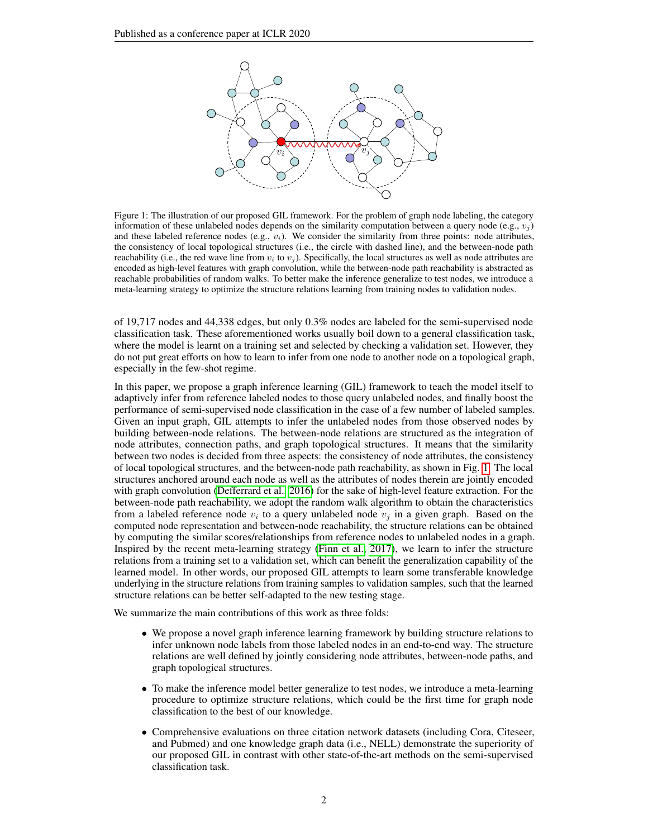<span id="page-1-0"></span>

encoded as high-level features with graph convolution, while the between-node path reachability is abstracted as encoded as high-level features with graph convolution, while the between-node path reachability is abstracted reachable probabilities of random walks. To better make the inference generalize to test nodes, we introduce a The red wave line the node reaches the node reaches the reaches the reaches the reaches of the second reaches the reaches of the reaches of the reaches of the reaches of the reaches of the reaches of the reaches of the rea meta-learning strategy to optimize the structure relations learning from training nodes to validation nodes. Figure 1: The illustration of our proposed GIL framework. For the problem of graph node labeling, the category information of these unlabeled nodes depends on the similarity computation between a query node (e.g.,  $v_i$ ) and these labeled reference nodes (e.g.,  $v_i$ ). We consider the similarity from three points: node attributes, the consistency of local topological structures (i.e., the circle with dashed line), and the between-node path reachability (i.e., the red wave line from  $v_i$  to  $v_j$ ). Specifically, the local structures as well as node attributes are

of 19,717 nodes and 44,338 edges, but only 0.3% nodes are labeled for the semi-supervised node classification task. These aforementioned works usually boil down to a general classification task, where the model is learnt on a training set and selected by checking a validation set. However, they do not put great efforts on how to learn to infer from one node to another node on a topological graph, especially in the few-shot regime.

In this paper, we propose a graph inference learning (GIL) framework to teach the model itself to adaptively infer from reference labeled nodes to those query unlabeled nodes, and finally boost the performance of semi-supervised node classification in the case of a few number of labeled samples. Given an input graph, GIL attempts to infer the unlabeled nodes from those observed nodes by building between-node relations. The between-node relations are structured as the integration of node attributes, connection paths, and graph topological structures. It means that the similarity between two nodes is decided from three aspects: the consistency of node attributes, the consistency of local topological structures, and the between-node path reachability, as shown in Fig. [1.](#page-1-0) The local structures anchored around each node as well as the attributes of nodes therein are jointly encoded with graph convolution [\(Defferrard et al., 2016\)](#page-9-4) for the sake of high-level feature extraction. For the between-node path reachability, we adopt the random walk algorithm to obtain the characteristics from a labeled reference node  $v_i$  to a query unlabeled node  $v_j$  in a given graph. Based on the computed node representation and between-node reachability, the structure relations can be obtained by computing the similar scores/relationships from reference nodes to unlabeled nodes in a graph. Inspired by the recent meta-learning strategy [\(Finn et al., 2017\)](#page-9-5), we learn to infer the structure relations from a training set to a validation set, which can benefit the generalization capability of the learned model. In other words, our proposed GIL attempts to learn some transferable knowledge underlying in the structure relations from training samples to validation samples, such that the learned structure relations can be better self-adapted to the new testing stage.

We summarize the main contributions of this work as three folds:

- We propose a novel graph inference learning framework by building structure relations to infer unknown node labels from those labeled nodes in an end-to-end way. The structure relations are well defined by jointly considering node attributes, between-node paths, and graph topological structures.
- To make the inference model better generalize to test nodes, we introduce a meta-learning procedure to optimize structure relations, which could be the first time for graph node classification to the best of our knowledge.
- Comprehensive evaluations on three citation network datasets (including Cora, Citeseer, and Pubmed) and one knowledge graph data (i.e., NELL) demonstrate the superiority of our proposed GIL in contrast with other state-of-the-art methods on the semi-supervised classification task.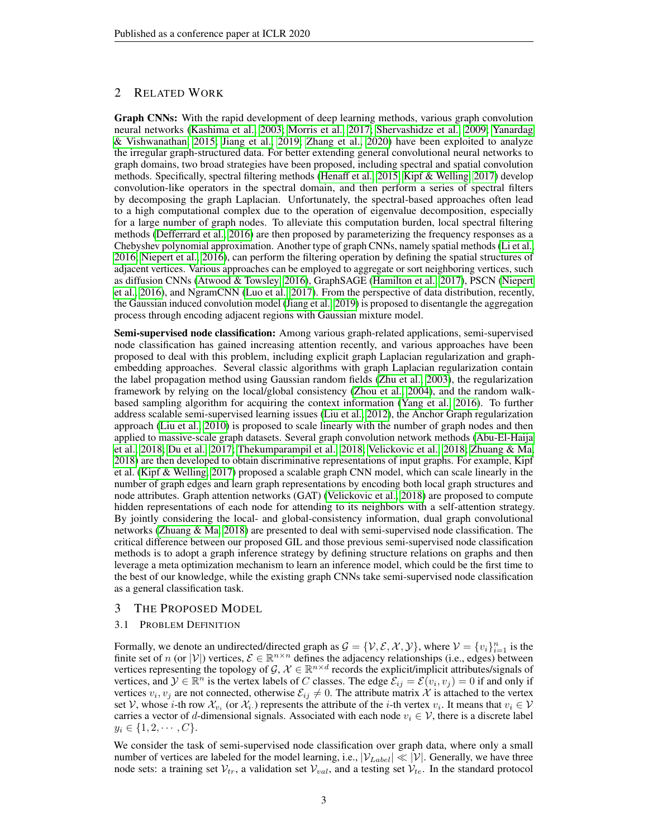# 2 RELATED WORK

Graph CNNs: With the rapid development of deep learning methods, various graph convolution neural networks [\(Kashima et al., 2003;](#page-9-6) [Morris et al., 2017;](#page-10-11) [Shervashidze et al., 2009;](#page-10-12) [Yanardag](#page-10-13) [& Vishwanathan, 2015;](#page-10-13) [Jiang et al., 2019;](#page-9-7) [Zhang et al., 2020\)](#page-10-14) have been exploited to analyze the irregular graph-structured data. For better extending general convolutional neural networks to graph domains, two broad strategies have been proposed, including spectral and spatial convolution methods. Specifically, spectral filtering methods [\(Henaff et al., 2015;](#page-9-8) [Kipf & Welling, 2017\)](#page-9-3) develop convolution-like operators in the spectral domain, and then perform a series of spectral filters by decomposing the graph Laplacian. Unfortunately, the spectral-based approaches often lead to a high computational complex due to the operation of eigenvalue decomposition, especially for a large number of graph nodes. To alleviate this computation burden, local spectral filtering methods [\(Defferrard et al., 2016\)](#page-9-4) are then proposed by parameterizing the frequency responses as a Chebyshev polynomial approximation. Another type of graph CNNs, namely spatial methods [\(Li et al.,](#page-9-9) [2016;](#page-9-9) [Niepert et al., 2016\)](#page-10-7), can perform the filtering operation by defining the spatial structures of adjacent vertices. Various approaches can be employed to aggregate or sort neighboring vertices, such as diffusion CNNs [\(Atwood & Towsley, 2016\)](#page-9-10), GraphSAGE [\(Hamilton et al., 2017\)](#page-9-11), PSCN [\(Niepert](#page-10-7) [et al., 2016\)](#page-10-7), and NgramCNN [\(Luo et al., 2017\)](#page-9-12). From the perspective of data distribution, recently, the Gaussian induced convolution model [\(Jiang et al., 2019\)](#page-9-7) is proposed to disentangle the aggregation process through encoding adjacent regions with Gaussian mixture model.

Semi-supervised node classification: Among various graph-related applications, semi-supervised node classification has gained increasing attention recently, and various approaches have been proposed to deal with this problem, including explicit graph Laplacian regularization and graphembedding approaches. Several classic algorithms with graph Laplacian regularization contain the label propagation method using Gaussian random fields [\(Zhu et al., 2003\)](#page-10-4), the regularization framework by relying on the local/global consistency [\(Zhou et al., 2004\)](#page-10-3), and the random walkbased sampling algorithm for acquiring the context information [\(Yang et al., 2016\)](#page-10-5). To further address scalable semi-supervised learning issues [\(Liu et al., 2012\)](#page-9-13), the Anchor Graph regularization approach [\(Liu et al., 2010\)](#page-9-14) is proposed to scale linearly with the number of graph nodes and then applied to massive-scale graph datasets. Several graph convolution network methods [\(Abu-El-Haija](#page-9-15) [et al., 2018;](#page-9-15) [Du et al., 2017;](#page-9-16) [Thekumparampil et al., 2018;](#page-10-15) [Velickovic et al., 2018;](#page-10-16) [Zhuang & Ma,](#page-10-17) [2018\)](#page-10-17) are then developed to obtain discriminative representations of input graphs. For example, Kipf et al. [\(Kipf & Welling, 2017\)](#page-9-3) proposed a scalable graph CNN model, which can scale linearly in the number of graph edges and learn graph representations by encoding both local graph structures and node attributes. Graph attention networks (GAT) [\(Velickovic et al., 2018\)](#page-10-16) are proposed to compute hidden representations of each node for attending to its neighbors with a self-attention strategy. By jointly considering the local- and global-consistency information, dual graph convolutional networks [\(Zhuang & Ma, 2018\)](#page-10-17) are presented to deal with semi-supervised node classification. The critical difference between our proposed GIL and those previous semi-supervised node classification methods is to adopt a graph inference strategy by defining structure relations on graphs and then leverage a meta optimization mechanism to learn an inference model, which could be the first time to the best of our knowledge, while the existing graph CNNs take semi-supervised node classification as a general classification task.

# 3 THE PROPOSED MODEL

## 3.1 PROBLEM DEFINITION

Formally, we denote an undirected/directed graph as  $\mathcal{G} = \{ \mathcal{V}, \mathcal{E}, \mathcal{X}, \mathcal{Y} \}$ , where  $\mathcal{V} = \{ v_i \}_{i=1}^n$  is the finite set of n (or |V|) vertices,  $\mathcal{E} \in \mathbb{R}^{n \times n}$  defines the adjacency relationships (i.e., edges) between vertices representing the topology of G,  $X \in \mathbb{R}^{n \times d}$  records the explicit/implicit attributes/signals of vertices, and  $\mathcal{Y} \in \mathbb{R}^n$  is the vertex labels of C classes. The edge  $\mathcal{E}_{ij} = \mathcal{E}(v_i, v_j) = 0$  if and only if vertices  $v_i, v_j$  are not connected, otherwise  $\mathcal{E}_{ij} \neq 0$ . The attribute matrix X is attached to the vertex set V, whose *i*-th row  $\mathcal{X}_{v_i}$  (or  $\mathcal{X}_i$ .) represents the attribute of the *i*-th vertex  $v_i$ . It means that  $v_i \in \mathcal{V}$ carries a vector of d-dimensional signals. Associated with each node  $v_i \in V$ , there is a discrete label  $y_i \in \{1, 2, \cdots, C\}.$ 

We consider the task of semi-supervised node classification over graph data, where only a small number of vertices are labeled for the model learning, i.e.,  $|\mathcal{V}_{Label}| \ll |\mathcal{V}|$ . Generally, we have three node sets: a training set  $V_{tr}$ , a validation set  $V_{val}$ , and a testing set  $V_{te}$ . In the standard protocol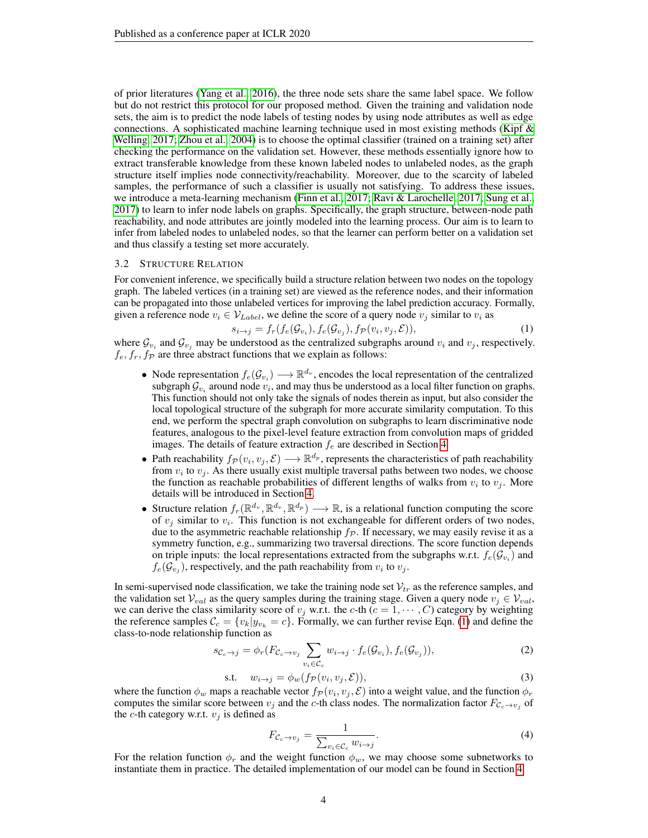of prior literatures [\(Yang et al., 2016\)](#page-10-5), the three node sets share the same label space. We follow but do not restrict this protocol for our proposed method. Given the training and validation node sets, the aim is to predict the node labels of testing nodes by using node attributes as well as edge connections. A sophisticated machine learning technique used in most existing methods (Kipf  $\&$ [Welling, 2017;](#page-9-3) [Zhou et al., 2004\)](#page-10-3) is to choose the optimal classifier (trained on a training set) after checking the performance on the validation set. However, these methods essentially ignore how to extract transferable knowledge from these known labeled nodes to unlabeled nodes, as the graph structure itself implies node connectivity/reachability. Moreover, due to the scarcity of labeled samples, the performance of such a classifier is usually not satisfying. To address these issues, we introduce a meta-learning mechanism [\(Finn et al., 2017;](#page-9-5) [Ravi & Larochelle, 2017;](#page-10-18) [Sung et al.,](#page-10-19) [2017\)](#page-10-19) to learn to infer node labels on graphs. Specifically, the graph structure, between-node path reachability, and node attributes are jointly modeled into the learning process. Our aim is to learn to infer from labeled nodes to unlabeled nodes, so that the learner can perform better on a validation set and thus classify a testing set more accurately.

#### 3.2 STRUCTURE RELATION

For convenient inference, we specifically build a structure relation between two nodes on the topology graph. The labeled vertices (in a training set) are viewed as the reference nodes, and their information can be propagated into those unlabeled vertices for improving the label prediction accuracy. Formally, given a reference node  $v_i \in V_{Label}$ , we define the score of a query node  $v_j$  similar to  $v_i$  as

<span id="page-3-0"></span>
$$
s_{i \to j} = f_r(f_e(\mathcal{G}_{v_i}), f_e(\mathcal{G}_{v_j}), f_{\mathcal{P}}(v_i, v_j, \mathcal{E})),
$$
\n(1)

where  $\mathcal{G}_{v_i}$  and  $\mathcal{G}_{v_j}$  may be understood as the centralized subgraphs around  $v_i$  and  $v_j$ , respectively.  $f_e, f_r, f_{\mathcal{P}}$  are three abstract functions that we explain as follows:

- Node representation  $f_e(\mathcal{G}_{v_i}) \longrightarrow \mathbb{R}^{d_v}$ , encodes the local representation of the centralized subgraph  $\mathcal{G}_{v_i}$  around node  $v_i$ , and may thus be understood as a local filter function on graphs. This function should not only take the signals of nodes therein as input, but also consider the local topological structure of the subgraph for more accurate similarity computation. To this end, we perform the spectral graph convolution on subgraphs to learn discriminative node features, analogous to the pixel-level feature extraction from convolution maps of gridded images. The details of feature extraction  $f_e$  are described in Section [4.](#page-4-0)
- Path reachability  $f_P(v_i, v_j, \mathcal{E}) \longrightarrow \mathbb{R}^{d_p}$ , represents the characteristics of path reachability from  $v_i$  to  $v_j$ . As there usually exist multiple traversal paths between two nodes, we choose the function as reachable probabilities of different lengths of walks from  $v_i$  to  $v_j$ . More details will be introduced in Section [4.](#page-4-0)
- Structure relation  $f_r(\mathbb{R}^{d_v}, \mathbb{R}^{d_v}, \mathbb{R}^{d_p}) \longrightarrow \mathbb{R}$ , is a relational function computing the score of  $v_j$  similar to  $v_i$ . This function is not exchangeable for different orders of two nodes, due to the asymmetric reachable relationship  $f<sub>P</sub>$ . If necessary, we may easily revise it as a symmetry function, e.g., summarizing two traversal directions. The score function depends on triple inputs: the local representations extracted from the subgraphs w.r.t.  $f_e(\mathcal{G}_{v_i})$  and  $f_e(\mathcal{G}_{v_j})$ , respectively, and the path reachability from  $v_i$  to  $v_j$ .

In semi-supervised node classification, we take the training node set  $V_{tr}$  as the reference samples, and the validation set  $V_{val}$  as the query samples during the training stage. Given a query node  $v_i \in V_{val}$ , we can derive the class similarity score of  $v_j$  w.r.t. the c-th ( $c = 1, \dots, C$ ) category by weighting the reference samples  $\mathcal{C}_c = \{v_k | y_{v_k} = c\}$ . Formally, we can further revise Eqn. [\(1\)](#page-3-0) and define the class-to-node relationship function as

$$
s_{\mathcal{C}_c \to j} = \phi_r(F_{\mathcal{C}_c \to v_j} \sum_{v_i \in \mathcal{C}_c} w_{i \to j} \cdot f_e(\mathcal{G}_{v_i}), f_e(\mathcal{G}_{v_j})),
$$
\n(2)

$$
\text{s.t.} \quad w_{i \to j} = \phi_w(f_{\mathcal{P}}(v_i, v_j, \mathcal{E})), \tag{3}
$$

where the function  $\phi_w$  maps a reachable vector  $f_P(v_i, v_j, \mathcal{E})$  into a weight value, and the function  $\phi_r$ computes the similar score between  $v_j$  and the c-th class nodes. The normalization factor  $F_{C_c \to v_j}$  of the *c*-th category w.r.t.  $v_j$  is defined as

<span id="page-3-2"></span><span id="page-3-1"></span>
$$
F_{\mathcal{C}_c \to v_j} = \frac{1}{\sum_{v_i \in \mathcal{C}_c} w_{i \to j}}.
$$
\n(4)

For the relation function  $\phi_r$  and the weight function  $\phi_w$ , we may choose some subnetworks to instantiate them in practice. The detailed implementation of our model can be found in Section [4.](#page-4-0)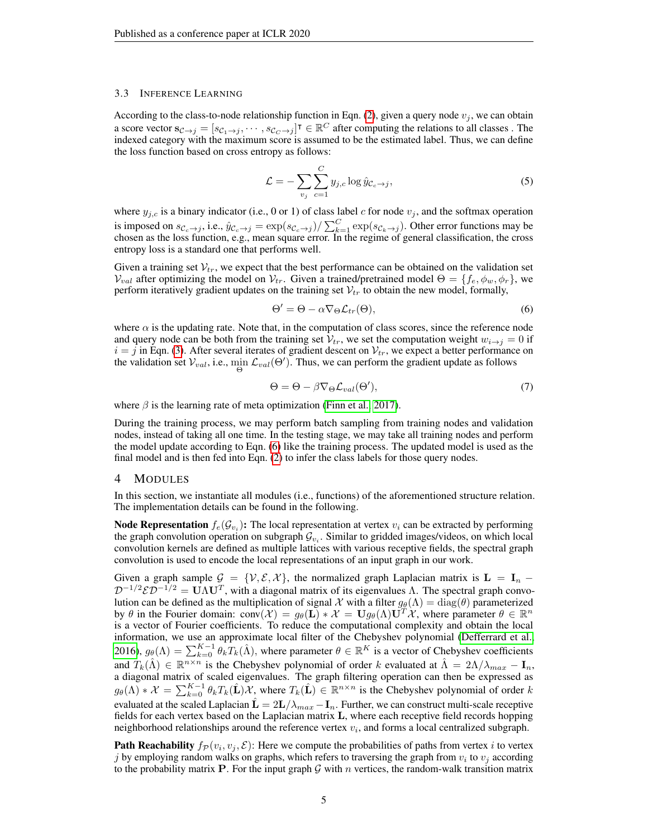#### 3.3 INFERENCE LEARNING

According to the class-to-node relationship function in Eqn. [\(2\)](#page-3-1), given a query node  $v_j$ , we can obtain a score vector  $\mathbf{s}_{\mathcal{C}\to j} = [s_{\mathcal{C}_1\to j}, \cdots, s_{\mathcal{C}_C\to j}]^\intercal \in \mathbb{R}^C$  after computing the relations to all classes. The indexed category with the maximum score is assumed to be the estimated label. Thus, we can define the loss function based on cross entropy as follows:

$$
\mathcal{L} = -\sum_{v_j} \sum_{c=1}^{C} y_{j,c} \log \hat{y}_{\mathcal{C}_c \to j},\tag{5}
$$

where  $y_{j,c}$  is a binary indicator (i.e., 0 or 1) of class label c for node  $v_j$ , and the softmax operation is imposed on  $s_{\mathcal{C}_c\to j}$ , i.e.,  $\hat{y}_{\mathcal{C}_c\to j} = \exp(s_{\mathcal{C}_c\to j})/\sum_{k=1}^C \exp(s_{\mathcal{C}_k\to j})$ . Other error functions may be chosen as the loss function, e.g., mean square error. In the regime of general classification, the cross entropy loss is a standard one that performs well.

Given a training set  $V_{tr}$ , we expect that the best performance can be obtained on the validation set  $V_{val}$  after optimizing the model on  $V_{tr}$ . Given a trained/pretrained model  $\Theta = \{f_e, \phi_w, \phi_r\}$ , we perform iteratively gradient updates on the training set  $V_{tr}$  to obtain the new model, formally,

<span id="page-4-1"></span>
$$
\Theta' = \Theta - \alpha \nabla_{\Theta} \mathcal{L}_{tr}(\Theta),\tag{6}
$$

where  $\alpha$  is the updating rate. Note that, in the computation of class scores, since the reference node and query node can be both from the training set  $V_{tr}$ , we set the computation weight  $w_{i\to j} = 0$  if  $i = j$  in Eqn. [\(3\)](#page-3-2). After several iterates of gradient descent on  $V_{tr}$ , we expect a better performance on the validation set  $V_{val}$ , i.e.,  $\min_{\Theta} \mathcal{L}_{val}(\Theta')$ . Thus, we can perform the gradient update as follows

$$
\Theta = \Theta - \beta \nabla_{\Theta} \mathcal{L}_{val}(\Theta'),\tag{7}
$$

where  $\beta$  is the learning rate of meta optimization [\(Finn et al., 2017\)](#page-9-5).

During the training process, we may perform batch sampling from training nodes and validation nodes, instead of taking all one time. In the testing stage, we may take all training nodes and perform the model update according to Eqn. [\(6\)](#page-4-1) like the training process. The updated model is used as the final model and is then fed into Eqn. [\(2\)](#page-3-1) to infer the class labels for those query nodes.

#### <span id="page-4-0"></span>4 MODULES

In this section, we instantiate all modules (i.e., functions) of the aforementioned structure relation. The implementation details can be found in the following.

**Node Representation**  $f_e(\mathcal{G}_{v_i})$ : The local representation at vertex  $v_i$  can be extracted by performing the graph convolution operation on subgraph  $\mathcal{G}_{v_i}$ . Similar to gridded images/videos, on which local convolution kernels are defined as multiple lattices with various receptive fields, the spectral graph convolution is used to encode the local representations of an input graph in our work.

Given a graph sample  $G = \{V, E, X\}$ , the normalized graph Laplacian matrix is  $L = I_n$  –  $\mathcal{D}^{-1/2} \mathcal{E} \mathcal{D}^{-1/2} = \mathbf{U} \Lambda \mathbf{U}^T$ , with a diagonal matrix of its eigenvalues  $\Lambda$ . The spectral graph convolution can be defined as the multiplication of signal X with a filter  $g_{\theta}(\Lambda) = \text{diag}(\theta)$  parameterized by  $\theta$  in the Fourier domain: conv $(\mathcal{X}) = g_{\theta}(\mathbf{L}) * \mathcal{X} = \mathbf{U} g_{\theta}(\Lambda) \mathbf{U}^T \mathcal{X}$ , where parameter  $\theta \in \mathbb{R}^n$ is a vector of Fourier coefficients. To reduce the computational complexity and obtain the local information, we use an approximate local filter of the Chebyshev polynomial [\(Defferrard et al.,](#page-9-4) [2016\)](#page-9-4),  $g_{\theta}(\Lambda) = \sum_{k=0}^{K-1} \theta_k T_k(\hat{\Lambda})$ , where parameter  $\theta \in \mathbb{R}^K$  is a vector of Chebyshev coefficients and  $T_k(\hat{\Lambda}) \in \mathbb{R}^{n \times n}$  is the Chebyshev polynomial of order k evaluated at  $\hat{\Lambda} = 2\Lambda/\lambda_{max} - \mathbf{I}_n$ , a diagonal matrix of scaled eigenvalues. The graph filtering operation can then be expressed as  $g_{\theta}(\Lambda) * \mathcal{X} = \sum_{k=0}^{K-1} \theta_k T_k(\hat{\mathbf{L}}) \mathcal{X}$ , where  $T_k(\hat{\mathbf{L}}) \in \mathbb{R}^{n \times n}$  is the Chebyshev polynomial of order k evaluated at the scaled Laplacian  $\hat{\mathbf{L}} = 2\mathbf{L}/\lambda_{max} - \mathbf{I}_n$ . Further, we can construct multi-scale receptive fields for each vertex based on the Laplacian matrix L, where each receptive field records hopping neighborhood relationships around the reference vertex  $v_i$ , and forms a local centralized subgraph.

**Path Reachability**  $f_{\mathcal{P}}(v_i, v_j, \mathcal{E})$ : Here we compute the probabilities of paths from vertex *i* to vertex j by employing random walks on graphs, which refers to traversing the graph from  $v_i$  to  $v_j$  according to the probability matrix **P**. For the input graph  $G$  with n vertices, the random-walk transition matrix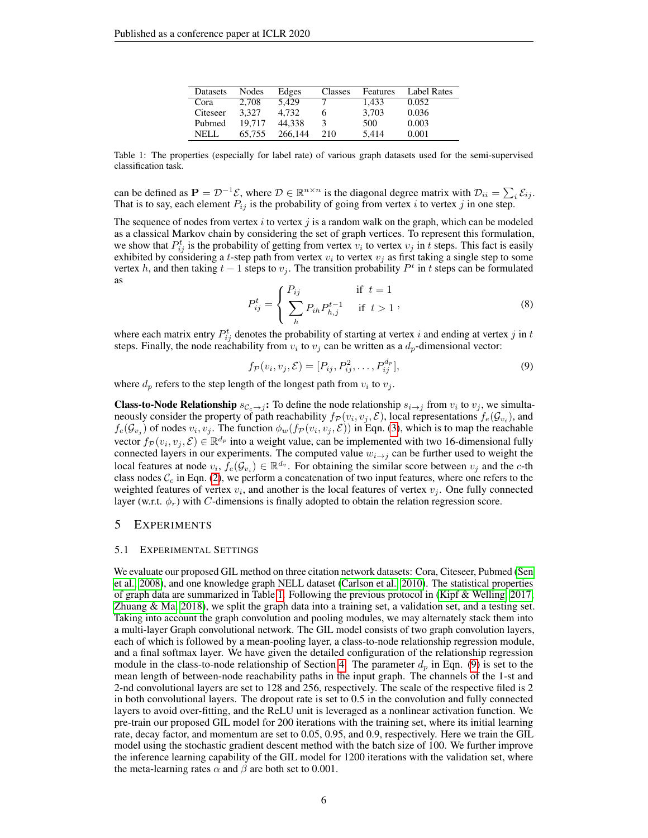| Datasets | Nodes  | Edges   | Classes | Features | <b>Label Rates</b> |
|----------|--------|---------|---------|----------|--------------------|
| Cora     | 2.708  | 5.429   |         | 1.433    | 0.052              |
| Citeseer | 3.327  | 4.732   |         | 3.703    | 0.036              |
| Pubmed   | 19.717 | 44.338  | 3       | 500      | 0.003              |
| NELL.    | 65.755 | 266,144 | 210     | 5.414    | 0.001              |

<span id="page-5-0"></span>Table 1: The properties (especially for label rate) of various graph datasets used for the semi-supervised classification task.

can be defined as  $P = \mathcal{D}^{-1}\mathcal{E}$ , where  $\mathcal{D} \in \mathbb{R}^{n \times n}$  is the diagonal degree matrix with  $\mathcal{D}_{ii} = \sum_i \mathcal{E}_{ij}$ . That is to say, each element  $P_{ij}$  is the probability of going from vertex i to vertex j in one step.

The sequence of nodes from vertex i to vertex j is a random walk on the graph, which can be modeled as a classical Markov chain by considering the set of graph vertices. To represent this formulation, we show that  $P_{ij}^t$  is the probability of getting from vertex  $v_i$  to vertex  $v_j$  in t steps. This fact is easily exhibited by considering a t-step path from vertex  $v_i$  to vertex  $v_j$  as first taking a single step to some vertex h, and then taking  $t - 1$  steps to  $v_j$ . The transition probability  $P^t$  in t steps can be formulated as

$$
P_{ij}^{t} = \begin{cases} P_{ij} & \text{if } t = 1\\ \sum_{h} P_{ih} P_{h,j}^{t-1} & \text{if } t > 1 \end{cases},
$$
 (8)

where each matrix entry  $P_{ij}^t$  denotes the probability of starting at vertex i and ending at vertex j in t steps. Finally, the node reachability from  $v_i$  to  $v_j$  can be written as a  $d_p$ -dimensional vector:

<span id="page-5-1"></span>
$$
f_{\mathcal{P}}(v_i, v_j, \mathcal{E}) = [P_{ij}, P_{ij}^2, \dots, P_{ij}^{d_p}],
$$
\n(9)

where  $d_p$  refers to the step length of the longest path from  $v_i$  to  $v_j$ .

**Class-to-Node Relationship**  $s_{C_c\to j}$ : To define the node relationship  $s_{i\to j}$  from  $v_i$  to  $v_j$ , we simultaneously consider the property of path reachability  $f_{\mathcal{P}}(v_i, v_j, \mathcal{E})$ , local representations  $f_e(\mathcal{G}_{v_i})$ , and  $f_e(\mathcal{G}_{v_j})$  of nodes  $v_i, v_j$ . The function  $\phi_w(f_{\mathcal{P}}(v_i, v_j, \mathcal{E}))$  in Eqn. [\(3\)](#page-3-2), which is to map the reachable vector  $f_{\mathcal{P}}(v_i, v_j, \mathcal{E}) \in \mathbb{R}^{d_p}$  into a weight value, can be implemented with two 16-dimensional fully connected layers in our experiments. The computed value  $w_{i\rightarrow j}$  can be further used to weight the local features at node  $v_i, f_e(\mathcal{G}_{v_i}) \in \mathbb{R}^{d_v}$ . For obtaining the similar score between  $v_j$  and the c-th class nodes  $\mathcal{C}_c$  in Eqn. [\(2\)](#page-3-1), we perform a concatenation of two input features, where one refers to the weighted features of vertex  $v_i$ , and another is the local features of vertex  $v_j$ . One fully connected layer (w.r.t.  $\phi_r$ ) with C-dimensions is finally adopted to obtain the relation regression score.

# 5 EXPERIMENTS

#### 5.1 EXPERIMENTAL SETTINGS

We evaluate our proposed GIL method on three citation network datasets: Cora, Citeseer, Pubmed [\(Sen](#page-10-10) [et al., 2008\)](#page-10-10), and one knowledge graph NELL dataset [\(Carlson et al., 2010\)](#page-9-17). The statistical properties of graph data are summarized in Table [1.](#page-5-0) Following the previous protocol in [\(Kipf & Welling, 2017;](#page-9-3) [Zhuang & Ma, 2018\)](#page-10-17), we split the graph data into a training set, a validation set, and a testing set. Taking into account the graph convolution and pooling modules, we may alternately stack them into a multi-layer Graph convolutional network. The GIL model consists of two graph convolution layers, each of which is followed by a mean-pooling layer, a class-to-node relationship regression module, and a final softmax layer. We have given the detailed configuration of the relationship regression module in the class-to-node relationship of Section [4.](#page-4-0) The parameter  $d_p$  in Eqn. [\(9\)](#page-5-1) is set to the mean length of between-node reachability paths in the input graph. The channels of the 1-st and 2-nd convolutional layers are set to 128 and 256, respectively. The scale of the respective filed is 2 in both convolutional layers. The dropout rate is set to 0.5 in the convolution and fully connected layers to avoid over-fitting, and the ReLU unit is leveraged as a nonlinear activation function. We pre-train our proposed GIL model for 200 iterations with the training set, where its initial learning rate, decay factor, and momentum are set to 0.05, 0.95, and 0.9, respectively. Here we train the GIL model using the stochastic gradient descent method with the batch size of 100. We further improve the inference learning capability of the GIL model for 1200 iterations with the validation set, where the meta-learning rates  $\alpha$  and  $\beta$  are both set to 0.001.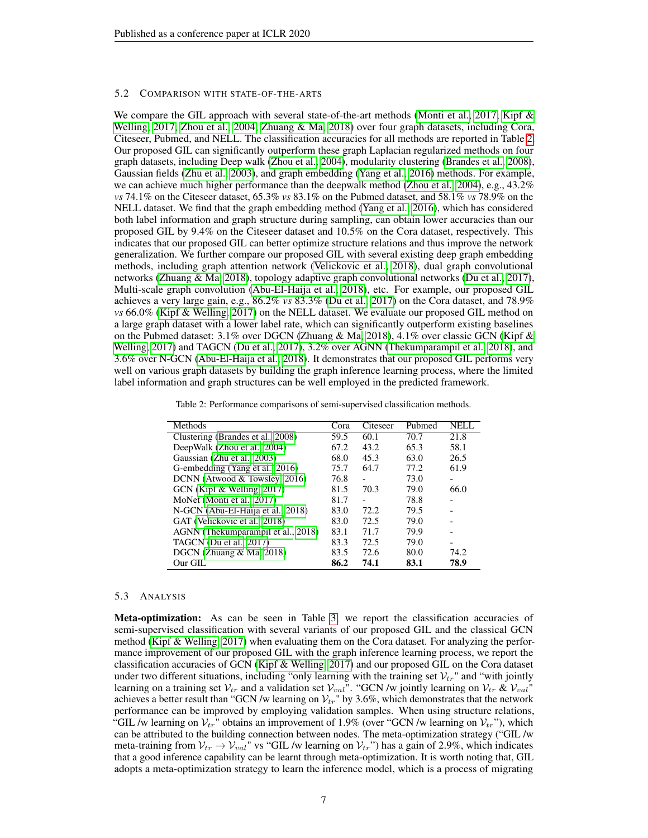#### 5.2 COMPARISON WITH STATE-OF-THE-ARTS

We compare the GIL approach with several state-of-the-art methods [\(Monti et al., 2017;](#page-10-20) [Kipf &](#page-9-3) [Welling, 2017;](#page-9-3) [Zhou et al., 2004;](#page-10-3) [Zhuang & Ma, 2018\)](#page-10-17) over four graph datasets, including Cora, Citeseer, Pubmed, and NELL. The classification accuracies for all methods are reported in Table [2.](#page-6-0) Our proposed GIL can significantly outperform these graph Laplacian regularized methods on four graph datasets, including Deep walk [\(Zhou et al., 2004\)](#page-10-3), modularity clustering [\(Brandes et al., 2008\)](#page-9-1), Gaussian fields [\(Zhu et al., 2003\)](#page-10-4), and graph embedding [\(Yang et al., 2016\)](#page-10-5) methods. For example, we can achieve much higher performance than the deepwalk method [\(Zhou et al., 2004\)](#page-10-3), e.g., 43.2% *vs* 74.1% on the Citeseer dataset, 65.3% *vs* 83.1% on the Pubmed dataset, and 58.1% *vs* 78.9% on the NELL dataset. We find that the graph embedding method [\(Yang et al., 2016\)](#page-10-5), which has considered both label information and graph structure during sampling, can obtain lower accuracies than our proposed GIL by 9.4% on the Citeseer dataset and 10.5% on the Cora dataset, respectively. This indicates that our proposed GIL can better optimize structure relations and thus improve the network generalization. We further compare our proposed GIL with several existing deep graph embedding methods, including graph attention network [\(Velickovic et al., 2018\)](#page-10-16), dual graph convolutional networks [\(Zhuang & Ma, 2018\)](#page-10-17), topology adaptive graph convolutional networks [\(Du et al., 2017\)](#page-9-16), Multi-scale graph convolution [\(Abu-El-Haija et al., 2018\)](#page-9-15), etc. For example, our proposed GIL achieves a very large gain, e.g., 86.2% *vs* 83.3% [\(Du et al., 2017\)](#page-9-16) on the Cora dataset, and 78.9% *vs* 66.0% [\(Kipf & Welling, 2017\)](#page-9-3) on the NELL dataset. We evaluate our proposed GIL method on a large graph dataset with a lower label rate, which can significantly outperform existing baselines on the Pubmed dataset: 3.1% over DGCN [\(Zhuang & Ma, 2018\)](#page-10-17), 4.1% over classic GCN [\(Kipf &](#page-9-3) [Welling, 2017\)](#page-9-3) and TAGCN [\(Du et al., 2017\)](#page-9-16), 3.2% over AGNN [\(Thekumparampil et al., 2018\)](#page-10-15), and 3.6% over N-GCN [\(Abu-El-Haija et al., 2018\)](#page-9-15). It demonstrates that our proposed GIL performs very well on various graph datasets by building the graph inference learning process, where the limited label information and graph structures can be well employed in the predicted framework.

Table 2: Performance comparisons of semi-supervised classification methods.

<span id="page-6-0"></span>

| Methods                            | Cora | Citeseer | Pubmed | NELL |
|------------------------------------|------|----------|--------|------|
| Clustering (Brandes et al., 2008)  | 59.5 | 60.1     | 70.7   | 21.8 |
| DeepWalk (Zhou et al., 2004)       | 67.2 | 43.2     | 65.3   | 58.1 |
| Gaussian (Zhu et al., 2003)        | 68.0 | 45.3     | 63.0   | 26.5 |
| G-embedding (Yang et al., 2016)    | 75.7 | 64.7     | 77.2   | 61.9 |
| DCNN (Atwood & Towsley, 2016)      | 76.8 | -        | 73.0   |      |
| GCN (Kipf & Welling, 2017)         | 81.5 | 70.3     | 79.0   | 66.0 |
| MoNet (Monti et al., 2017)         | 81.7 | -        | 78.8   |      |
| N-GCN (Abu-El-Haija et al., 2018)  | 83.0 | 72.2     | 79.5   |      |
| GAT (Velickovic et al., 2018)      | 83.0 | 72.5     | 79.0   |      |
| AGNN (Thekumparampil et al., 2018) | 83.1 | 71.7     | 79.9   |      |
| TAGCN (Du et al., 2017)            | 83.3 | 72.5     | 79.0   |      |
| DGCN (Zhuang $& Ma, 2018$ )        | 83.5 | 72.6     | 80.0   | 74.2 |
| Our GIL                            | 86.2 | 74.1     | 83.1   | 78.9 |

## 5.3 ANALYSIS

Meta-optimization: As can be seen in Table [3,](#page-7-0) we report the classification accuracies of semi-supervised classification with several variants of our proposed GIL and the classical GCN method [\(Kipf & Welling, 2017\)](#page-9-3) when evaluating them on the Cora dataset. For analyzing the performance improvement of our proposed GIL with the graph inference learning process, we report the classification accuracies of GCN [\(Kipf & Welling, 2017\)](#page-9-3) and our proposed GIL on the Cora dataset under two different situations, including "only learning with the training set  $V_{tr}$ " and "with jointly learning on a training set  $V_{tr}$  and a validation set  $V_{val}$ ". "GCN /w jointly learning on  $V_{tr}$  &  $V_{val}$ " achieves a better result than "GCN /w learning on  $\mathcal{V}_{tr}$ " by 3.6%, which demonstrates that the network performance can be improved by employing validation samples. When using structure relations, "GIL /w learning on  $V_{tr}$ " obtains an improvement of 1.9% (over "GCN /w learning on  $V_{tr}$ "), which can be attributed to the building connection between nodes. The meta-optimization strategy ("GIL /w meta-training from  $V_{tr} \rightarrow V_{val}$ " vs "GIL /w learning on  $V_{tr}$ ") has a gain of 2.9%, which indicates that a good inference capability can be learnt through meta-optimization. It is worth noting that, GIL adopts a meta-optimization strategy to learn the inference model, which is a process of migrating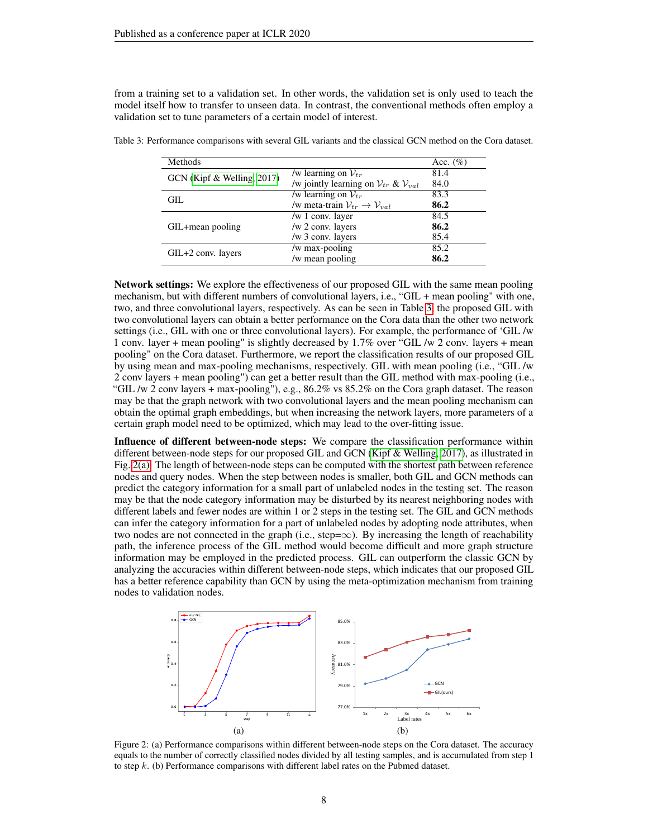from a training set to a validation set. In other words, the validation set is only used to teach the model itself how to transfer to unseen data. In contrast, the conventional methods often employ a validation set to tune parameters of a certain model of interest.

| Methods                    |                                                                | Acc. $(\%)$ |
|----------------------------|----------------------------------------------------------------|-------------|
| GCN (Kipf & Welling, 2017) | /w learning on $V_{tr}$                                        | 81.4        |
|                            | /w jointly learning on $V_{tr}$ & $V_{val}$                    | 84.0        |
| GIL.                       | /w learning on $V_{tr}$                                        | 83.3        |
|                            | /w meta-train $\mathcal{V}_{tr} \rightarrow \mathcal{V}_{val}$ | 86.2        |
|                            | /w $1$ conv. layer                                             | 84.5        |
| GIL+mean pooling           | /w 2 conv. layers                                              | 86.2        |
|                            | /w 3 conv. layers                                              | 85.4        |
|                            | /w max-pooling                                                 | 85.2        |
| GIL+2 conv. layers         | /w mean pooling                                                | 86.2        |

<span id="page-7-0"></span>Table 3: Performance comparisons with several GIL variants and the classical GCN method on the Cora dataset.

Network settings: We explore the effectiveness of our proposed GIL with the same mean pooling mechanism, but with different numbers of convolutional layers, i.e., "GIL + mean pooling" with one, two, and three convolutional layers, respectively. As can be seen in Table [3,](#page-7-0) the proposed GIL with two convolutional layers can obtain a better performance on the Cora data than the other two network settings (i.e., GIL with one or three convolutional layers). For example, the performance of 'GIL /w 1 conv. layer + mean pooling" is slightly decreased by 1.7% over "GIL /w 2 conv. layers + mean pooling" on the Cora dataset. Furthermore, we report the classification results of our proposed GIL by using mean and max-pooling mechanisms, respectively. GIL with mean pooling (i.e., "GIL /w 2 conv layers + mean pooling") can get a better result than the GIL method with max-pooling (i.e., "GIL /w 2 conv layers + max-pooling"), e.g., 86.2% vs 85.2% on the Cora graph dataset. The reason may be that the graph network with two convolutional layers and the mean pooling mechanism can obtain the optimal graph embeddings, but when increasing the network layers, more parameters of a certain graph model need to be optimized, which may lead to the over-fitting issue.

Influence of different between-node steps: We compare the classification performance within different between-node steps for our proposed GIL and GCN [\(Kipf & Welling, 2017\)](#page-9-3), as illustrated in Fig. [2\(a\).](#page-7-1) The length of between-node steps can be computed with the shortest path between reference nodes and query nodes. When the step between nodes is smaller, both GIL and GCN methods can predict the category information for a small part of unlabeled nodes in the testing set. The reason may be that the node category information may be disturbed by its nearest neighboring nodes with different labels and fewer nodes are within 1 or 2 steps in the testing set. The GIL and GCN methods can infer the category information for a part of unlabeled nodes by adopting node attributes, when two nodes are not connected in the graph (i.e., step= $\infty$ ). By increasing the length of reachability path, the inference process of the GIL method would become difficult and more graph structure information may be employed in the predicted process. GIL can outperform the classic GCN by analyzing the accuracies within different between-node steps, which indicates that our proposed GIL has a better reference capability than GCN by using the meta-optimization mechanism from training nodes to validation nodes.

<span id="page-7-2"></span><span id="page-7-1"></span>

Figure 2: (a) Performance comparisons within different between-node steps on the Cora dataset. The accuracy equals to the number of correctly classified nodes divided by all testing samples, and is accumulated from step 1 to step  $k$ . (b) Performance comparisons with different label rates on the Pubmed dataset.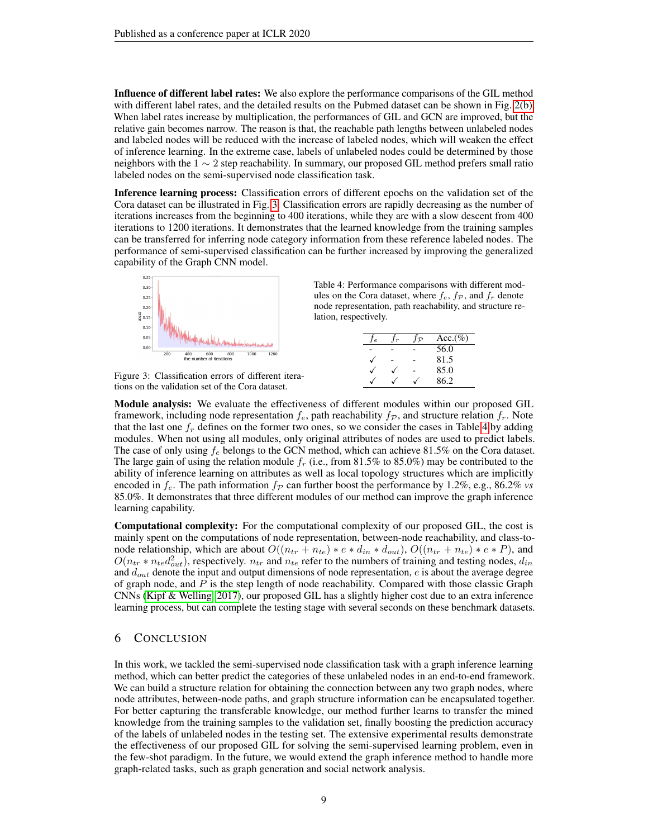Influence of different label rates: We also explore the performance comparisons of the GIL method with different label rates, and the detailed results on the Pubmed dataset can be shown in Fig. [2\(b\).](#page-7-2) When label rates increase by multiplication, the performances of GIL and GCN are improved, but the relative gain becomes narrow. The reason is that, the reachable path lengths between unlabeled nodes and labeled nodes will be reduced with the increase of labeled nodes, which will weaken the effect of inference learning. In the extreme case, labels of unlabeled nodes could be determined by those neighbors with the  $1 \sim 2$  step reachability. In summary, our proposed GIL method prefers small ratio labeled nodes on the semi-supervised node classification task.

Inference learning process: Classification errors of different epochs on the validation set of the Cora dataset can be illustrated in Fig. [3.](#page-8-0) Classification errors are rapidly decreasing as the number of iterations increases from the beginning to 400 iterations, while they are with a slow descent from 400 iterations to 1200 iterations. It demonstrates that the learned knowledge from the training samples can be transferred for inferring node category information from these reference labeled nodes. The performance of semi-supervised classification can be further increased by improving the generalized capability of the Graph CNN model.



<span id="page-8-1"></span>Table 4: Performance comparisons with different modules on the Cora dataset, where  $f_e$ ,  $f_p$ , and  $f_r$  denote node representation, path reachability, and structure relation, respectively.

|  | $\mathcal{D}$ | $Acc.(\%)$ |
|--|---------------|------------|
|  |               | 56.0       |
|  |               | 81.5       |
|  |               | 85.0       |
|  |               | 86.2       |

<span id="page-8-0"></span>Figure 3: Classification errors of different iterations on the validation set of the Cora dataset.

Module analysis: We evaluate the effectiveness of different modules within our proposed GIL framework, including node representation  $f_e$ , path reachability  $f_p$ , and structure relation  $f_r$ . Note that the last one  $f_r$  defines on the former two ones, so we consider the cases in Table [4](#page-8-1) by adding modules. When not using all modules, only original attributes of nodes are used to predict labels. The case of only using  $f_e$  belongs to the GCN method, which can achieve 81.5% on the Cora dataset. The large gain of using the relation module  $f_r$  (i.e., from 81.5% to 85.0%) may be contributed to the ability of inference learning on attributes as well as local topology structures which are implicitly encoded in  $f_e$ . The path information  $f_p$  can further boost the performance by 1.2%, e.g., 86.2% *vs* 85.0%. It demonstrates that three different modules of our method can improve the graph inference learning capability.

Computational complexity: For the computational complexity of our proposed GIL, the cost is mainly spent on the computations of node representation, between-node reachability, and class-tonode relationship, which are about  $O((n_{tr} + n_{te}) * e * d_{in} * d_{out})$ ,  $O((n_{tr} + n_{te}) * e * P)$ , and  $O(n_{tr} * n_{te}d_{out}^2)$ , respectively.  $n_{tr}$  and  $n_{te}$  refer to the numbers of training and testing nodes,  $d_{in}$ and  $d_{out}$  denote the input and output dimensions of node representation, e is about the average degree of graph node, and  $P$  is the step length of node reachability. Compared with those classic Graph CNNs [\(Kipf & Welling, 2017\)](#page-9-3), our proposed GIL has a slightly higher cost due to an extra inference learning process, but can complete the testing stage with several seconds on these benchmark datasets.

# 6 CONCLUSION

In this work, we tackled the semi-supervised node classification task with a graph inference learning method, which can better predict the categories of these unlabeled nodes in an end-to-end framework. We can build a structure relation for obtaining the connection between any two graph nodes, where node attributes, between-node paths, and graph structure information can be encapsulated together. For better capturing the transferable knowledge, our method further learns to transfer the mined knowledge from the training samples to the validation set, finally boosting the prediction accuracy of the labels of unlabeled nodes in the testing set. The extensive experimental results demonstrate the effectiveness of our proposed GIL for solving the semi-supervised learning problem, even in the few-shot paradigm. In the future, we would extend the graph inference method to handle more graph-related tasks, such as graph generation and social network analysis.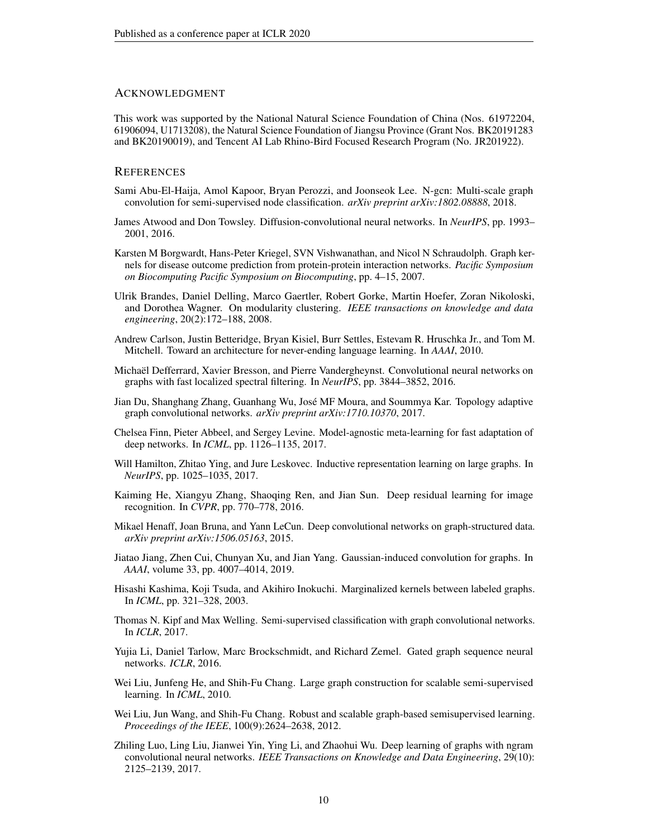# ACKNOWLEDGMENT

This work was supported by the National Natural Science Foundation of China (Nos. 61972204, 61906094, U1713208), the Natural Science Foundation of Jiangsu Province (Grant Nos. BK20191283 and BK20190019), and Tencent AI Lab Rhino-Bird Focused Research Program (No. JR201922).

# **REFERENCES**

- <span id="page-9-15"></span>Sami Abu-El-Haija, Amol Kapoor, Bryan Perozzi, and Joonseok Lee. N-gcn: Multi-scale graph convolution for semi-supervised node classification. *arXiv preprint arXiv:1802.08888*, 2018.
- <span id="page-9-10"></span>James Atwood and Don Towsley. Diffusion-convolutional neural networks. In *NeurIPS*, pp. 1993– 2001, 2016.
- <span id="page-9-0"></span>Karsten M Borgwardt, Hans-Peter Kriegel, SVN Vishwanathan, and Nicol N Schraudolph. Graph kernels for disease outcome prediction from protein-protein interaction networks. *Pacific Symposium on Biocomputing Pacific Symposium on Biocomputing*, pp. 4–15, 2007.
- <span id="page-9-1"></span>Ulrik Brandes, Daniel Delling, Marco Gaertler, Robert Gorke, Martin Hoefer, Zoran Nikoloski, and Dorothea Wagner. On modularity clustering. *IEEE transactions on knowledge and data engineering*, 20(2):172–188, 2008.
- <span id="page-9-17"></span>Andrew Carlson, Justin Betteridge, Bryan Kisiel, Burr Settles, Estevam R. Hruschka Jr., and Tom M. Mitchell. Toward an architecture for never-ending language learning. In *AAAI*, 2010.
- <span id="page-9-4"></span>Michaël Defferrard, Xavier Bresson, and Pierre Vandergheynst. Convolutional neural networks on graphs with fast localized spectral filtering. In *NeurIPS*, pp. 3844–3852, 2016.
- <span id="page-9-16"></span>Jian Du, Shanghang Zhang, Guanhang Wu, José MF Moura, and Soummya Kar. Topology adaptive graph convolutional networks. *arXiv preprint arXiv:1710.10370*, 2017.
- <span id="page-9-5"></span>Chelsea Finn, Pieter Abbeel, and Sergey Levine. Model-agnostic meta-learning for fast adaptation of deep networks. In *ICML*, pp. 1126–1135, 2017.
- <span id="page-9-11"></span>Will Hamilton, Zhitao Ying, and Jure Leskovec. Inductive representation learning on large graphs. In *NeurIPS*, pp. 1025–1035, 2017.
- <span id="page-9-2"></span>Kaiming He, Xiangyu Zhang, Shaoqing Ren, and Jian Sun. Deep residual learning for image recognition. In *CVPR*, pp. 770–778, 2016.
- <span id="page-9-8"></span>Mikael Henaff, Joan Bruna, and Yann LeCun. Deep convolutional networks on graph-structured data. *arXiv preprint arXiv:1506.05163*, 2015.
- <span id="page-9-7"></span>Jiatao Jiang, Zhen Cui, Chunyan Xu, and Jian Yang. Gaussian-induced convolution for graphs. In *AAAI*, volume 33, pp. 4007–4014, 2019.
- <span id="page-9-6"></span>Hisashi Kashima, Koji Tsuda, and Akihiro Inokuchi. Marginalized kernels between labeled graphs. In *ICML*, pp. 321–328, 2003.
- <span id="page-9-3"></span>Thomas N. Kipf and Max Welling. Semi-supervised classification with graph convolutional networks. In *ICLR*, 2017.
- <span id="page-9-9"></span>Yujia Li, Daniel Tarlow, Marc Brockschmidt, and Richard Zemel. Gated graph sequence neural networks. *ICLR*, 2016.
- <span id="page-9-14"></span>Wei Liu, Junfeng He, and Shih-Fu Chang. Large graph construction for scalable semi-supervised learning. In *ICML*, 2010.
- <span id="page-9-13"></span>Wei Liu, Jun Wang, and Shih-Fu Chang. Robust and scalable graph-based semisupervised learning. *Proceedings of the IEEE*, 100(9):2624–2638, 2012.
- <span id="page-9-12"></span>Zhiling Luo, Ling Liu, Jianwei Yin, Ying Li, and Zhaohui Wu. Deep learning of graphs with ngram convolutional neural networks. *IEEE Transactions on Knowledge and Data Engineering*, 29(10): 2125–2139, 2017.